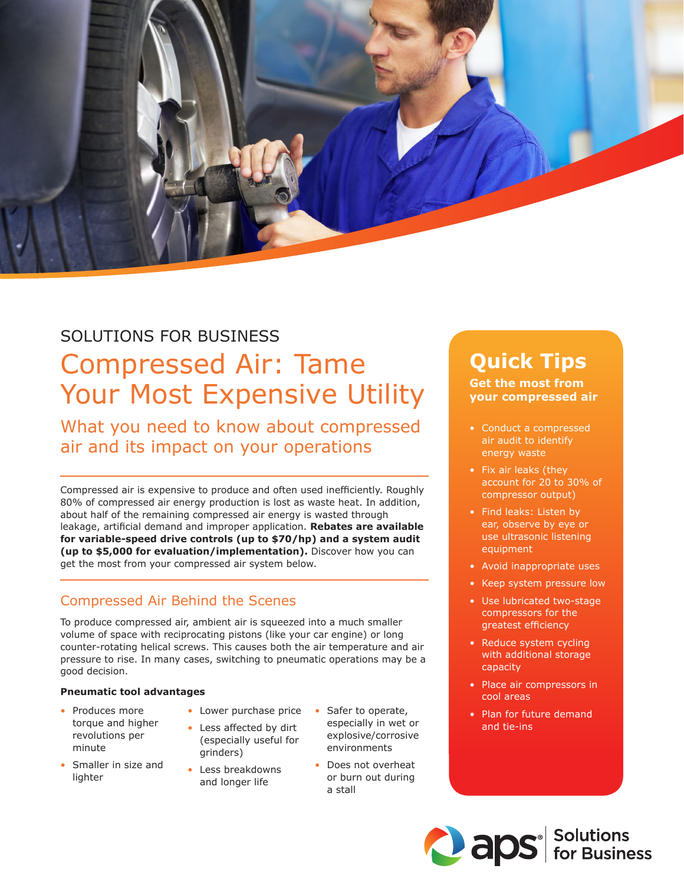## SOLUTIONS FOR BUSINESS

## Compressed Air: Tame Your Most Expensive Utility

What you need to know about compressed air and its impact on your operations

Compressed air is expensive to produce and often used inefficiently. Roughly 80% of compressed air energy production is lost as waste heat. In addition, about half of the remaining compressed air energy is wasted through leakage, artificial demand and improper application. **Rebates are available for variable-speed drive controls (up to \$70/hp) and a system audit (up to \$5,000 for evaluation/implementation).** Discover how you can get the most from your compressed air system below.

## Compressed Air Behind the Scenes

To produce compressed air, ambient air is squeezed into a much smaller volume of space with reciprocating pistons (like your car engine) or long counter-rotating helical screws. This causes both the air temperature and air pressure to rise. In many cases, switching to pneumatic operations may be a good decision.

#### **Pneumatic tool advantages**

- Produces more torque and higher revolutions per minute
- Smaller in size and lighter
- Lower purchase price • Less affected by dirt
- (especially useful for grinders)
- Less breakdowns and longer life
- Safer to operate, especially in wet or explosive/corrosive environments
	- Does not overheat or burn out during a stall

# **Quick Tips**

#### **Get the most from your compressed air**

- Conduct a compressed air audit to identify energy waste
- Fix air leaks (they account for 20 to 30% of compressor output)
- Find leaks: Listen by ear, observe by eye or use ultrasonic listening equipment
- Avoid inappropriate uses
- Keep system pressure low
- Use lubricated two-stage compressors for the greatest efficiency
- Reduce system cycling with additional storage capacity
- Place air compressors in cool areas
- Plan for future demand and tie-ins